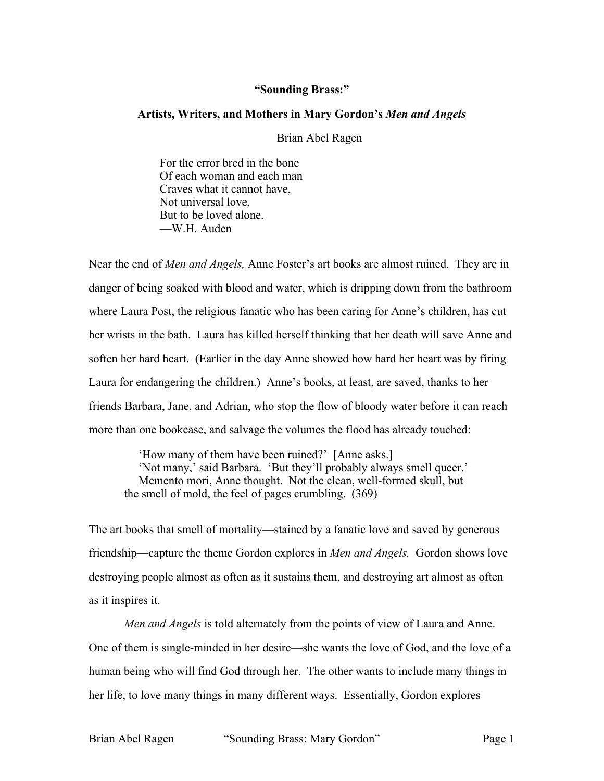## **"Sounding Brass:"**

## **Artists, Writers, and Mothers in Mary Gordon's** *Men and Angels*

Brian Abel Ragen

For the error bred in the bone Of each woman and each man Craves what it cannot have, Not universal love, But to be loved alone. —W.H. Auden

Near the end of *Men and Angels,* Anne Foster's art books are almost ruined. They are in danger of being soaked with blood and water, which is dripping down from the bathroom where Laura Post, the religious fanatic who has been caring for Anne's children, has cut her wrists in the bath. Laura has killed herself thinking that her death will save Anne and soften her hard heart. (Earlier in the day Anne showed how hard her heart was by firing Laura for endangering the children.) Anne's books, at least, are saved, thanks to her friends Barbara, Jane, and Adrian, who stop the flow of bloody water before it can reach more than one bookcase, and salvage the volumes the flood has already touched:

'How many of them have been ruined?' [Anne asks.] 'Not many,' said Barbara. 'But they'll probably always smell queer.' Memento mori, Anne thought. Not the clean, well-formed skull, but the smell of mold, the feel of pages crumbling. (369)

The art books that smell of mortality—stained by a fanatic love and saved by generous friendship—capture the theme Gordon explores in *Men and Angels.* Gordon shows love destroying people almost as often as it sustains them, and destroying art almost as often as it inspires it.

*Men and Angels* is told alternately from the points of view of Laura and Anne. One of them is single-minded in her desire—she wants the love of God, and the love of a human being who will find God through her. The other wants to include many things in her life, to love many things in many different ways. Essentially, Gordon explores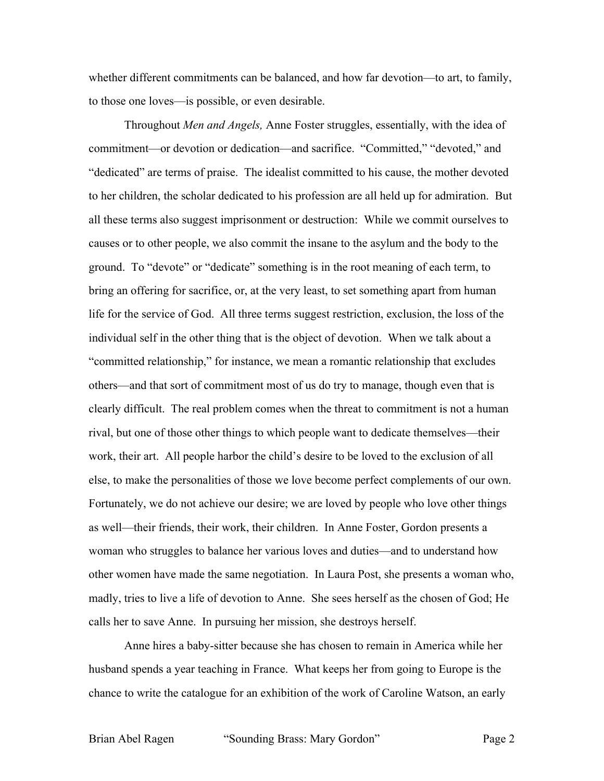whether different commitments can be balanced, and how far devotion—to art, to family, to those one loves—is possible, or even desirable.

Throughout *Men and Angels,* Anne Foster struggles, essentially, with the idea of commitment—or devotion or dedication—and sacrifice. "Committed," "devoted," and "dedicated" are terms of praise. The idealist committed to his cause, the mother devoted to her children, the scholar dedicated to his profession are all held up for admiration. But all these terms also suggest imprisonment or destruction: While we commit ourselves to causes or to other people, we also commit the insane to the asylum and the body to the ground. To "devote" or "dedicate" something is in the root meaning of each term, to bring an offering for sacrifice, or, at the very least, to set something apart from human life for the service of God. All three terms suggest restriction, exclusion, the loss of the individual self in the other thing that is the object of devotion. When we talk about a "committed relationship," for instance, we mean a romantic relationship that excludes others—and that sort of commitment most of us do try to manage, though even that is clearly difficult. The real problem comes when the threat to commitment is not a human rival, but one of those other things to which people want to dedicate themselves—their work, their art. All people harbor the child's desire to be loved to the exclusion of all else, to make the personalities of those we love become perfect complements of our own. Fortunately, we do not achieve our desire; we are loved by people who love other things as well—their friends, their work, their children. In Anne Foster, Gordon presents a woman who struggles to balance her various loves and duties—and to understand how other women have made the same negotiation. In Laura Post, she presents a woman who, madly, tries to live a life of devotion to Anne. She sees herself as the chosen of God; He calls her to save Anne. In pursuing her mission, she destroys herself.

Anne hires a baby-sitter because she has chosen to remain in America while her husband spends a year teaching in France. What keeps her from going to Europe is the chance to write the catalogue for an exhibition of the work of Caroline Watson, an early

Brian Abel Ragen "Sounding Brass: Mary Gordon" Page 2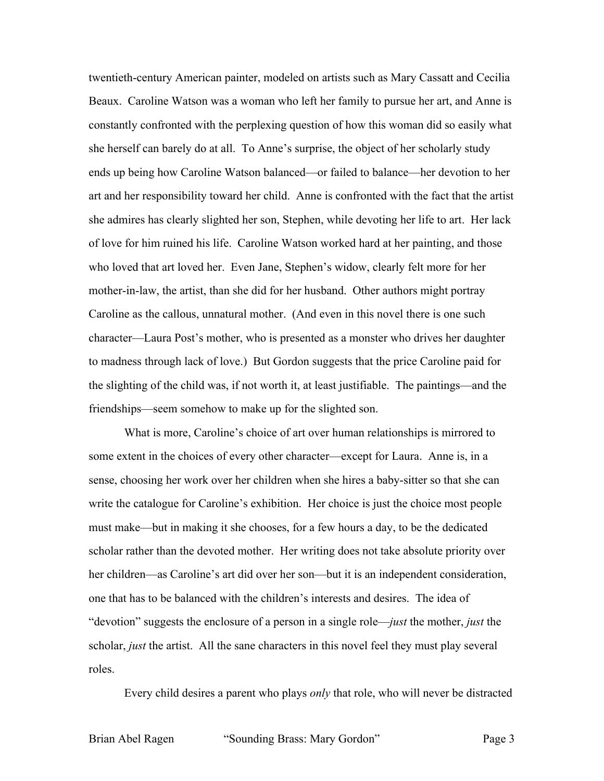twentieth-century American painter, modeled on artists such as Mary Cassatt and Cecilia Beaux. Caroline Watson was a woman who left her family to pursue her art, and Anne is constantly confronted with the perplexing question of how this woman did so easily what she herself can barely do at all. To Anne's surprise, the object of her scholarly study ends up being how Caroline Watson balanced—or failed to balance—her devotion to her art and her responsibility toward her child. Anne is confronted with the fact that the artist she admires has clearly slighted her son, Stephen, while devoting her life to art. Her lack of love for him ruined his life. Caroline Watson worked hard at her painting, and those who loved that art loved her. Even Jane, Stephen's widow, clearly felt more for her mother-in-law, the artist, than she did for her husband. Other authors might portray Caroline as the callous, unnatural mother. (And even in this novel there is one such character—Laura Post's mother, who is presented as a monster who drives her daughter to madness through lack of love.) But Gordon suggests that the price Caroline paid for the slighting of the child was, if not worth it, at least justifiable. The paintings—and the friendships—seem somehow to make up for the slighted son.

What is more, Caroline's choice of art over human relationships is mirrored to some extent in the choices of every other character—except for Laura. Anne is, in a sense, choosing her work over her children when she hires a baby-sitter so that she can write the catalogue for Caroline's exhibition. Her choice is just the choice most people must make—but in making it she chooses, for a few hours a day, to be the dedicated scholar rather than the devoted mother. Her writing does not take absolute priority over her children—as Caroline's art did over her son—but it is an independent consideration, one that has to be balanced with the children's interests and desires. The idea of "devotion" suggests the enclosure of a person in a single role—*just* the mother, *just* the scholar, *just* the artist. All the sane characters in this novel feel they must play several roles.

Every child desires a parent who plays *only* that role, who will never be distracted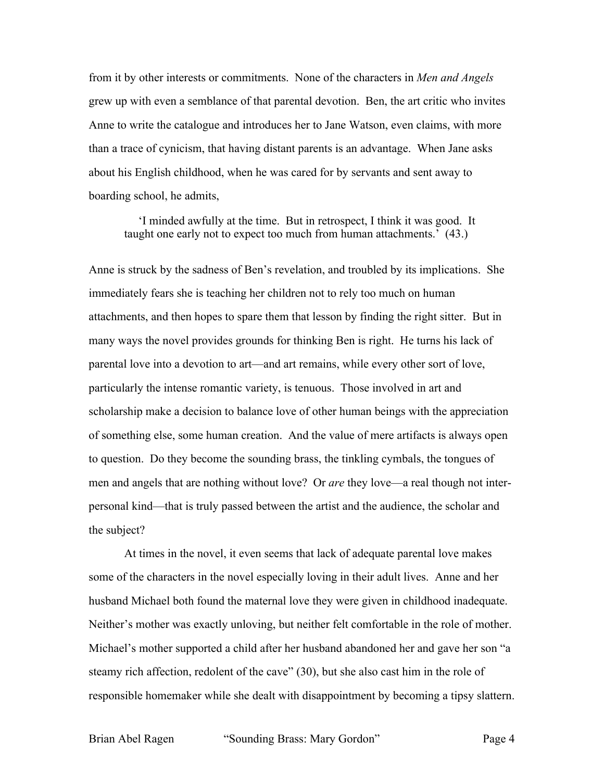from it by other interests or commitments. None of the characters in *Men and Angels* grew up with even a semblance of that parental devotion. Ben, the art critic who invites Anne to write the catalogue and introduces her to Jane Watson, even claims, with more than a trace of cynicism, that having distant parents is an advantage. When Jane asks about his English childhood, when he was cared for by servants and sent away to boarding school, he admits,

'I minded awfully at the time. But in retrospect, I think it was good. It taught one early not to expect too much from human attachments.' (43.)

Anne is struck by the sadness of Ben's revelation, and troubled by its implications. She immediately fears she is teaching her children not to rely too much on human attachments, and then hopes to spare them that lesson by finding the right sitter. But in many ways the novel provides grounds for thinking Ben is right. He turns his lack of parental love into a devotion to art—and art remains, while every other sort of love, particularly the intense romantic variety, is tenuous. Those involved in art and scholarship make a decision to balance love of other human beings with the appreciation of something else, some human creation. And the value of mere artifacts is always open to question. Do they become the sounding brass, the tinkling cymbals, the tongues of men and angels that are nothing without love? Or *are* they love—a real though not interpersonal kind—that is truly passed between the artist and the audience, the scholar and the subject?

At times in the novel, it even seems that lack of adequate parental love makes some of the characters in the novel especially loving in their adult lives. Anne and her husband Michael both found the maternal love they were given in childhood inadequate. Neither's mother was exactly unloving, but neither felt comfortable in the role of mother. Michael's mother supported a child after her husband abandoned her and gave her son "a steamy rich affection, redolent of the cave" (30), but she also cast him in the role of responsible homemaker while she dealt with disappointment by becoming a tipsy slattern.

Brian Abel Ragen "Sounding Brass: Mary Gordon" Page 4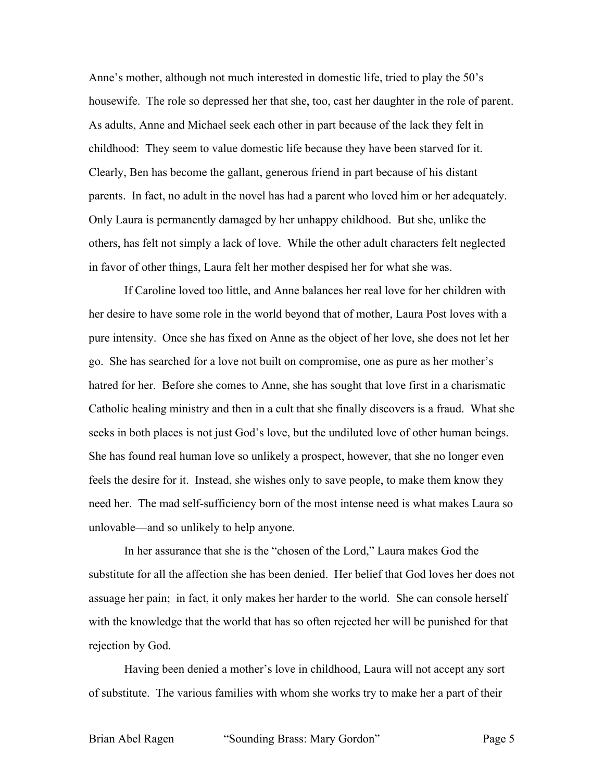Anne's mother, although not much interested in domestic life, tried to play the 50's housewife. The role so depressed her that she, too, cast her daughter in the role of parent. As adults, Anne and Michael seek each other in part because of the lack they felt in childhood: They seem to value domestic life because they have been starved for it. Clearly, Ben has become the gallant, generous friend in part because of his distant parents. In fact, no adult in the novel has had a parent who loved him or her adequately. Only Laura is permanently damaged by her unhappy childhood. But she, unlike the others, has felt not simply a lack of love. While the other adult characters felt neglected in favor of other things, Laura felt her mother despised her for what she was.

If Caroline loved too little, and Anne balances her real love for her children with her desire to have some role in the world beyond that of mother, Laura Post loves with a pure intensity. Once she has fixed on Anne as the object of her love, she does not let her go. She has searched for a love not built on compromise, one as pure as her mother's hatred for her. Before she comes to Anne, she has sought that love first in a charismatic Catholic healing ministry and then in a cult that she finally discovers is a fraud. What she seeks in both places is not just God's love, but the undiluted love of other human beings. She has found real human love so unlikely a prospect, however, that she no longer even feels the desire for it. Instead, she wishes only to save people, to make them know they need her. The mad self-sufficiency born of the most intense need is what makes Laura so unlovable—and so unlikely to help anyone.

In her assurance that she is the "chosen of the Lord," Laura makes God the substitute for all the affection she has been denied. Her belief that God loves her does not assuage her pain; in fact, it only makes her harder to the world. She can console herself with the knowledge that the world that has so often rejected her will be punished for that rejection by God.

Having been denied a mother's love in childhood, Laura will not accept any sort of substitute. The various families with whom she works try to make her a part of their

Brian Abel Ragen "Sounding Brass: Mary Gordon" Page 5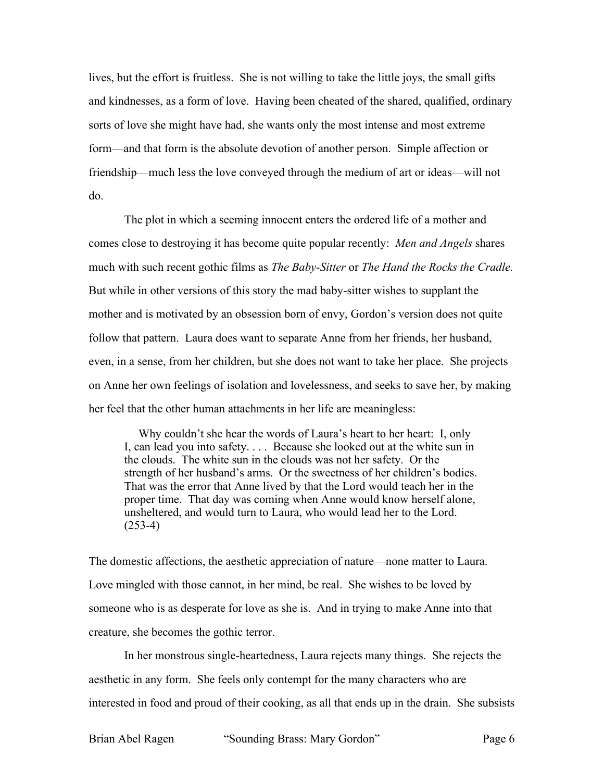lives, but the effort is fruitless. She is not willing to take the little joys, the small gifts and kindnesses, as a form of love. Having been cheated of the shared, qualified, ordinary sorts of love she might have had, she wants only the most intense and most extreme form—and that form is the absolute devotion of another person. Simple affection or friendship—much less the love conveyed through the medium of art or ideas—will not do.

The plot in which a seeming innocent enters the ordered life of a mother and comes close to destroying it has become quite popular recently: *Men and Angels* shares much with such recent gothic films as *The Baby-Sitter* or *The Hand the Rocks the Cradle.* But while in other versions of this story the mad baby-sitter wishes to supplant the mother and is motivated by an obsession born of envy, Gordon's version does not quite follow that pattern. Laura does want to separate Anne from her friends, her husband, even, in a sense, from her children, but she does not want to take her place. She projects on Anne her own feelings of isolation and lovelessness, and seeks to save her, by making her feel that the other human attachments in her life are meaningless:

Why couldn't she hear the words of Laura's heart to her heart: I, only I, can lead you into safety. . . . Because she looked out at the white sun in the clouds. The white sun in the clouds was not her safety. Or the strength of her husband's arms. Or the sweetness of her children's bodies. That was the error that Anne lived by that the Lord would teach her in the proper time. That day was coming when Anne would know herself alone, unsheltered, and would turn to Laura, who would lead her to the Lord.  $(253-4)$ 

The domestic affections, the aesthetic appreciation of nature—none matter to Laura. Love mingled with those cannot, in her mind, be real. She wishes to be loved by someone who is as desperate for love as she is. And in trying to make Anne into that creature, she becomes the gothic terror.

In her monstrous single-heartedness, Laura rejects many things. She rejects the aesthetic in any form. She feels only contempt for the many characters who are interested in food and proud of their cooking, as all that ends up in the drain. She subsists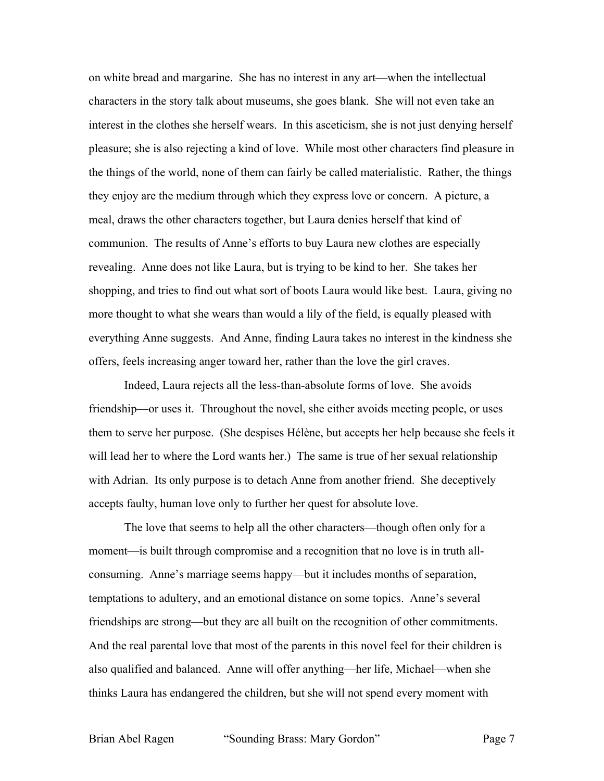on white bread and margarine. She has no interest in any art—when the intellectual characters in the story talk about museums, she goes blank. She will not even take an interest in the clothes she herself wears. In this asceticism, she is not just denying herself pleasure; she is also rejecting a kind of love. While most other characters find pleasure in the things of the world, none of them can fairly be called materialistic. Rather, the things they enjoy are the medium through which they express love or concern. A picture, a meal, draws the other characters together, but Laura denies herself that kind of communion. The results of Anne's efforts to buy Laura new clothes are especially revealing. Anne does not like Laura, but is trying to be kind to her. She takes her shopping, and tries to find out what sort of boots Laura would like best. Laura, giving no more thought to what she wears than would a lily of the field, is equally pleased with everything Anne suggests. And Anne, finding Laura takes no interest in the kindness she offers, feels increasing anger toward her, rather than the love the girl craves.

Indeed, Laura rejects all the less-than-absolute forms of love. She avoids friendship—or uses it. Throughout the novel, she either avoids meeting people, or uses them to serve her purpose. (She despises Hélène, but accepts her help because she feels it will lead her to where the Lord wants her.) The same is true of her sexual relationship with Adrian. Its only purpose is to detach Anne from another friend. She deceptively accepts faulty, human love only to further her quest for absolute love.

The love that seems to help all the other characters—though often only for a moment—is built through compromise and a recognition that no love is in truth allconsuming. Anne's marriage seems happy—but it includes months of separation, temptations to adultery, and an emotional distance on some topics. Anne's several friendships are strong—but they are all built on the recognition of other commitments. And the real parental love that most of the parents in this novel feel for their children is also qualified and balanced. Anne will offer anything—her life, Michael—when she thinks Laura has endangered the children, but she will not spend every moment with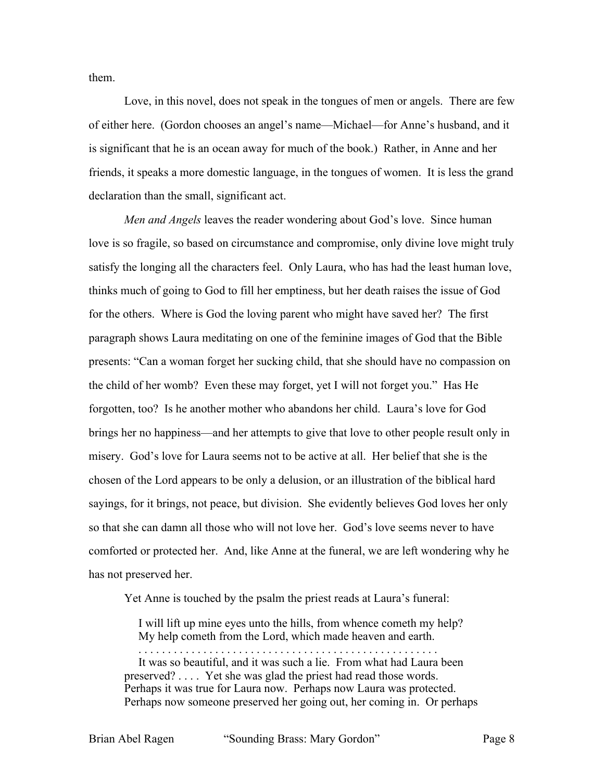them.

Love, in this novel, does not speak in the tongues of men or angels. There are few of either here. (Gordon chooses an angel's name—Michael—for Anne's husband, and it is significant that he is an ocean away for much of the book.) Rather, in Anne and her friends, it speaks a more domestic language, in the tongues of women. It is less the grand declaration than the small, significant act.

*Men and Angels* leaves the reader wondering about God's love. Since human love is so fragile, so based on circumstance and compromise, only divine love might truly satisfy the longing all the characters feel. Only Laura, who has had the least human love, thinks much of going to God to fill her emptiness, but her death raises the issue of God for the others. Where is God the loving parent who might have saved her? The first paragraph shows Laura meditating on one of the feminine images of God that the Bible presents: "Can a woman forget her sucking child, that she should have no compassion on the child of her womb? Even these may forget, yet I will not forget you." Has He forgotten, too? Is he another mother who abandons her child. Laura's love for God brings her no happiness—and her attempts to give that love to other people result only in misery. God's love for Laura seems not to be active at all. Her belief that she is the chosen of the Lord appears to be only a delusion, or an illustration of the biblical hard sayings, for it brings, not peace, but division. She evidently believes God loves her only so that she can damn all those who will not love her. God's love seems never to have comforted or protected her. And, like Anne at the funeral, we are left wondering why he has not preserved her.

Yet Anne is touched by the psalm the priest reads at Laura's funeral:

I will lift up mine eyes unto the hills, from whence cometh my help? My help cometh from the Lord, which made heaven and earth.

. . . . . . . . . . . . . . . . . . . . . . . . . . . . . . . . . . . . . . . . . . . . . . . . . . .

It was so beautiful, and it was such a lie. From what had Laura been preserved? . . . . Yet she was glad the priest had read those words. Perhaps it was true for Laura now. Perhaps now Laura was protected. Perhaps now someone preserved her going out, her coming in. Or perhaps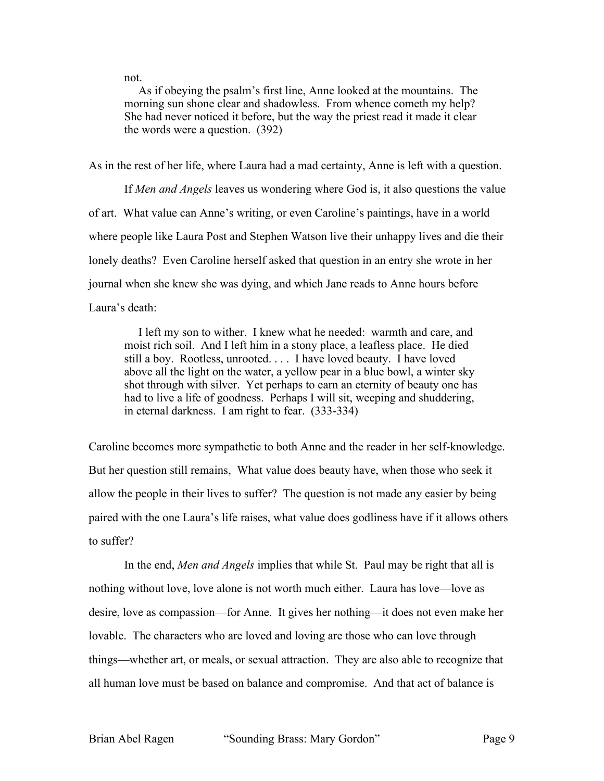not.

As if obeying the psalm's first line, Anne looked at the mountains. The morning sun shone clear and shadowless. From whence cometh my help? She had never noticed it before, but the way the priest read it made it clear the words were a question. (392)

As in the rest of her life, where Laura had a mad certainty, Anne is left with a question.

If *Men and Angels* leaves us wondering where God is, it also questions the value of art. What value can Anne's writing, or even Caroline's paintings, have in a world where people like Laura Post and Stephen Watson live their unhappy lives and die their lonely deaths? Even Caroline herself asked that question in an entry she wrote in her journal when she knew she was dying, and which Jane reads to Anne hours before Laura's death:

I left my son to wither. I knew what he needed: warmth and care, and moist rich soil. And I left him in a stony place, a leafless place. He died still a boy. Rootless, unrooted. . . . I have loved beauty. I have loved above all the light on the water, a yellow pear in a blue bowl, a winter sky shot through with silver. Yet perhaps to earn an eternity of beauty one has had to live a life of goodness. Perhaps I will sit, weeping and shuddering, in eternal darkness. I am right to fear. (333-334)

Caroline becomes more sympathetic to both Anne and the reader in her self-knowledge. But her question still remains, What value does beauty have, when those who seek it allow the people in their lives to suffer? The question is not made any easier by being paired with the one Laura's life raises, what value does godliness have if it allows others to suffer?

In the end, *Men and Angels* implies that while St. Paul may be right that all is nothing without love, love alone is not worth much either. Laura has love—love as desire, love as compassion—for Anne. It gives her nothing—it does not even make her lovable. The characters who are loved and loving are those who can love through things—whether art, or meals, or sexual attraction. They are also able to recognize that all human love must be based on balance and compromise. And that act of balance is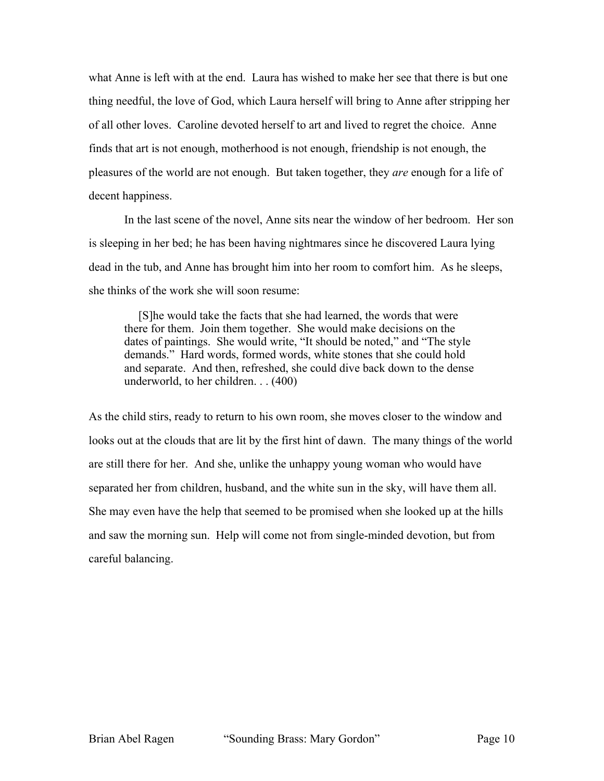what Anne is left with at the end. Laura has wished to make her see that there is but one thing needful, the love of God, which Laura herself will bring to Anne after stripping her of all other loves. Caroline devoted herself to art and lived to regret the choice. Anne finds that art is not enough, motherhood is not enough, friendship is not enough, the pleasures of the world are not enough. But taken together, they *are* enough for a life of decent happiness.

In the last scene of the novel, Anne sits near the window of her bedroom. Her son is sleeping in her bed; he has been having nightmares since he discovered Laura lying dead in the tub, and Anne has brought him into her room to comfort him. As he sleeps, she thinks of the work she will soon resume:

[S]he would take the facts that she had learned, the words that were there for them. Join them together. She would make decisions on the dates of paintings. She would write, "It should be noted," and "The style demands." Hard words, formed words, white stones that she could hold and separate. And then, refreshed, she could dive back down to the dense underworld, to her children. . . (400)

As the child stirs, ready to return to his own room, she moves closer to the window and looks out at the clouds that are lit by the first hint of dawn. The many things of the world are still there for her. And she, unlike the unhappy young woman who would have separated her from children, husband, and the white sun in the sky, will have them all. She may even have the help that seemed to be promised when she looked up at the hills and saw the morning sun. Help will come not from single-minded devotion, but from careful balancing.